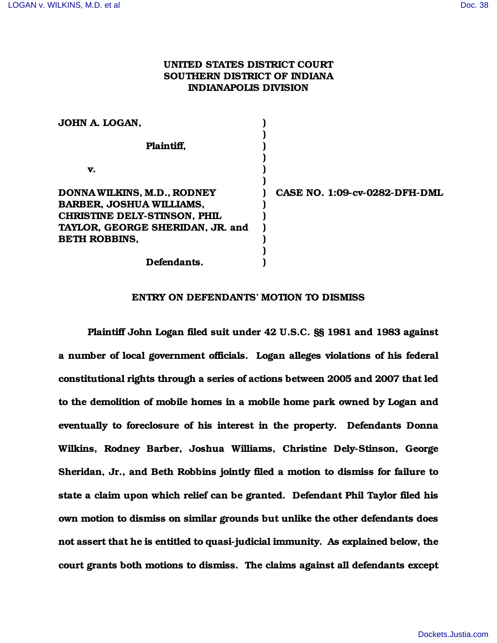# UNITED STATES DISTRICT COURT SOUTHERN DISTRICT OF INDIANA INDIANAPOLIS DIVISION

| JOHN A. LOGAN,                                                        |                               |
|-----------------------------------------------------------------------|-------------------------------|
| Plaintiff,                                                            |                               |
| v.                                                                    |                               |
| <b>DONNA WILKINS, M.D., RODNEY</b><br><b>BARBER, JOSHUA WILLIAMS,</b> | CASE NO. 1:09-cv-0282-DFH-DML |
| CHRISTINE DELY-STINSON, PHIL                                          |                               |
| TAYLOR, GEORGE SHERIDAN, JR. and<br><b>BETH ROBBINS,</b>              |                               |
| Defendants.                                                           |                               |

#### ENTRY ON DEFENDANTS' MOTION TO DISMISS

Plaintiff John Logan filed suit under 42 U.S.C. §§ 1981 and 1983 against a number of local government officials. Logan alleges violations of his federal constitutional rights through a series of actions between 2005 and 2007 that led to the demolition of mobile homes in a mobile home park owned by Logan and eventually to foreclosure of his interest in the property. Defendants Donna Wilkins, Rodney Barber, Joshua Williams, Christine Dely-Stinson, George Sheridan, Jr., and Beth Robbins jointly filed a motion to dismiss for failure to state a claim upon which relief can be granted. Defendant Phil Taylor filed his own motion to dismiss on similar grounds but unlike the other defendants does not assert that he is entitled to quasi-judicial immunity. As explained below, the court grants both motions to dismiss. The claims against all defendants except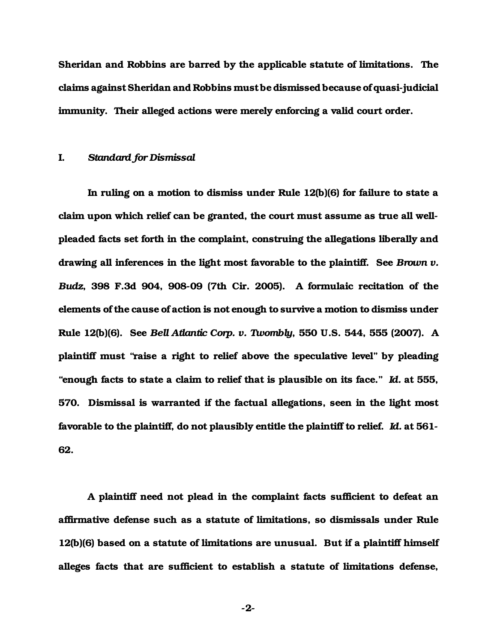Sheridan and Robbins are barred by the applicable statute of limitations. The claims against Sheridan and Robbins must be dismissed because of quasi-judicial immunity. Their alleged actions were merely enforcing a valid court order.

#### I. *Standard for Dismissal*

In ruling on a motion to dismiss under Rule 12(b)(6) for failure to state a claim upon which relief can be granted, the court must assume as true all wellpleaded facts set forth in the complaint, construing the allegations liberally and drawing all inferences in the light most favorable to the plaintiff. See *Brown v. Budz*, 398 F.3d 904, 908-09 (7th Cir. 2005). A formulaic recitation of the elements of the cause of action is not enough to survive a motion to dismiss under Rule 12(b)(6). See *Bell Atlantic Corp. v. Twombly*, 550 U.S. 544, 555 (2007). A plaintiff must "raise a right to relief above the speculative level" by pleading "enough facts to state a claim to relief that is plausible on its face." *Id.* at 555, 570. Dismissal is warranted if the factual allegations, seen in the light most favorable to the plaintiff, do not plausibly entitle the plaintiff to relief. *Id.* at 561- 62.

A plaintiff need not plead in the complaint facts sufficient to defeat an affirmative defense such as a statute of limitations, so dismissals under Rule 12(b)(6) based on a statute of limitations are unusual. But if a plaintiff himself alleges facts that are sufficient to establish a statute of limitations defense,

-2-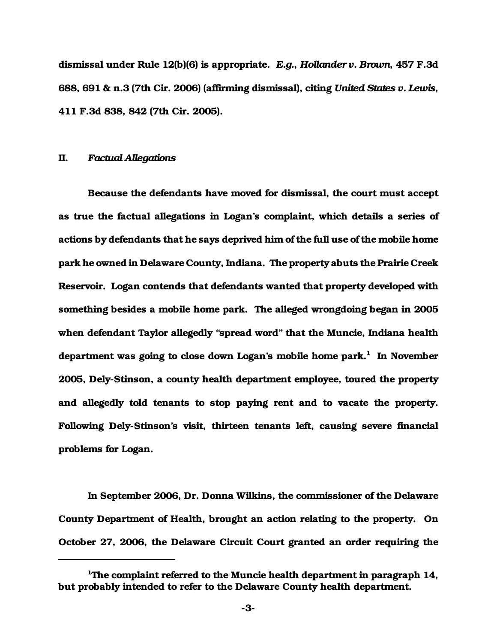dismissal under Rule 12(b)(6) is appropriate. *E.g.*, *Hollander v. Brown*, 457 F.3d 688, 691 & n.3 (7th Cir. 2006) (affirming dismissal), citing *United States v. Lewis*, 411 F.3d 838, 842 (7th Cir. 2005).

## II. *Factual Allegations*

Because the defendants have moved for dismissal, the court must accept as true the factual allegations in Logan's complaint, which details a series of actions by defendants that he says deprived him of the full use of the mobile home park he owned in Delaware County, Indiana. The property abuts the Prairie Creek Reservoir. Logan contends that defendants wanted that property developed with something besides a mobile home park. The alleged wrongdoing began in 2005 when defendant Taylor allegedly "spread word" that the Muncie, Indiana health department was going to close down Logan's mobile home park.<sup>1</sup> In November 2005, Dely-Stinson, a county health department employee, toured the property and allegedly told tenants to stop paying rent and to vacate the property. Following Dely-Stinson's visit, thirteen tenants left, causing severe financial problems for Logan.

In September 2006, Dr. Donna Wilkins, the commissioner of the Delaware County Department of Health, brought an action relating to the property. On October 27, 2006, the Delaware Circuit Court granted an order requiring the

<sup>&</sup>lt;sup>1</sup>The complaint referred to the Muncie health department in paragraph 14, but probably intended to refer to the Delaware County health department.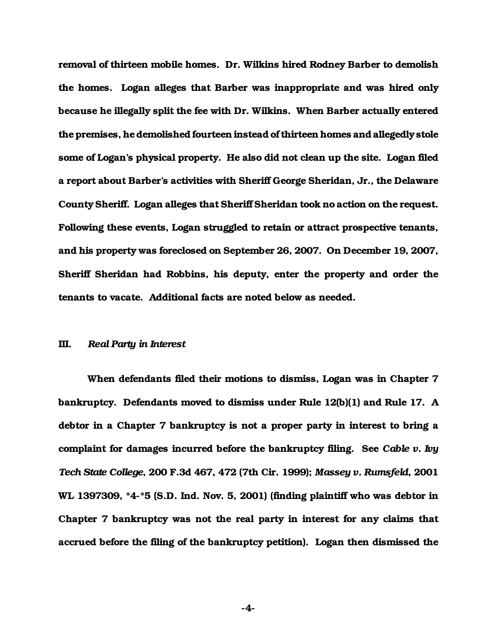removal of thirteen mobile homes. Dr. Wilkins hired Rodney Barber to demolish the homes. Logan alleges that Barber was inappropriate and was hired only because he illegally split the fee with Dr. Wilkins. When Barber actually entered the premises, he demolished fourteen instead of thirteen homes and allegedly stole some of Logan's physical property. He also did not clean up the site. Logan filed a report about Barber's activities with Sheriff George Sheridan, Jr., the Delaware County Sheriff. Logan alleges that Sheriff Sheridan took no action on the request. Following these events, Logan struggled to retain or attract prospective tenants, and his property was foreclosed on September 26, 2007. On December 19, 2007, Sheriff Sheridan had Robbins, his deputy, enter the property and order the tenants to vacate. Additional facts are noted below as needed.

## III. *Real Party in Interest*

When defendants filed their motions to dismiss, Logan was in Chapter 7 bankruptcy. Defendants moved to dismiss under Rule 12(b)(1) and Rule 17. A debtor in a Chapter 7 bankruptcy is not a proper party in interest to bring a complaint for damages incurred before the bankruptcy filing. See *Cable v. Ivy Tech State College*, 200 F.3d 467, 472 (7th Cir. 1999); *Massey v. Rumsfeld*, 2001 WL 1397309, \*4-\*5 (S.D. Ind. Nov. 5, 2001) (finding plaintiff who was debtor in Chapter 7 bankruptcy was not the real party in interest for any claims that accrued before the filing of the bankruptcy petition). Logan then dismissed the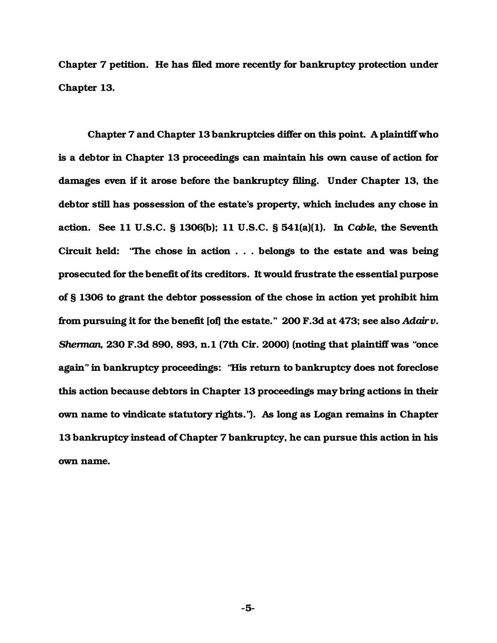Chapter 7 petition. He has filed more recently for bankruptcy protection under Chapter 13.

Chapter 7 and Chapter 13 bankruptcies differ on this point. A plaintiff who is a debtor in Chapter 13 proceedings can maintain his own cause of action for damages even if it arose before the bankruptcy filing. Under Chapter 13, the debtor still has possession of the estate's property, which includes any chose in action. See 11 U.S.C. § 1306(b); 11 U.S.C. § 541(a)(1). In *Cable*, the Seventh Circuit held: "The chose in action . . . belongs to the estate and was being prosecuted for the benefit of its creditors. It would frustrate the essential purpose of § 1306 to grant the debtor possession of the chose in action yet prohibit him from pursuing it for the benefit [of] the estate." 200 F.3d at 473; see also *Adair v. Sherman*, 230 F.3d 890, 893, n.1 (7th Cir. 2000) (noting that plaintiff was "once again" in bankruptcy proceedings: "His return to bankruptcy does not foreclose this action because debtors in Chapter 13 proceedings may bring actions in their own name to vindicate statutory rights."). As long as Logan remains in Chapter 13 bankruptcy instead of Chapter 7 bankruptcy, he can pursue this action in his own name.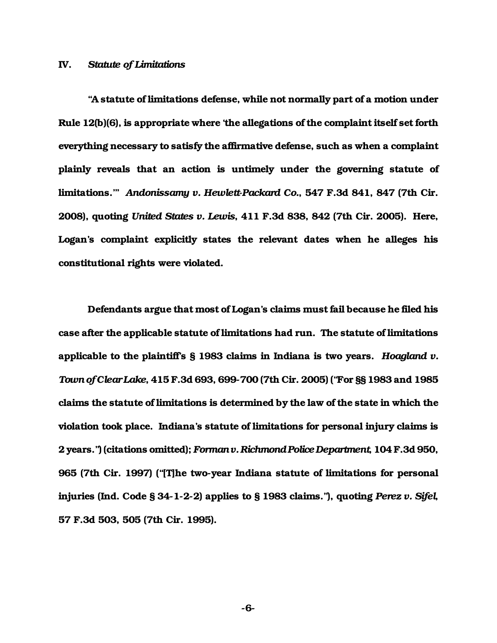#### IV. *Statute of Limitations*

"A statute of limitations defense, while not normally part of a motion under Rule 12(b)(6), is appropriate where 'the allegations of the complaint itself set forth everything necessary to satisfy the affirmative defense, such as when a complaint plainly reveals that an action is untimely under the governing statute of limitations.'" *Andonissamy v. Hewlett-Packard Co.*, 547 F.3d 841, 847 (7th Cir. 2008), quoting *United States v. Lewis*, 411 F.3d 838, 842 (7th Cir. 2005).Here, Logan's complaint explicitly states the relevant dates when he alleges his constitutional rights were violated.

Defendants argue that most of Logan's claims must fail because he filed his case after the applicable statute of limitations had run. The statute of limitations applicable to the plaintiff's § 1983 claims in Indiana is two years. *Hoagland v. Town of Clear Lake*, 415 F.3d 693, 699-700 (7th Cir. 2005) ("For §§ 1983 and 1985 claims the statute of limitations is determined by the law of the state in which the violation took place. Indiana's statute of limitations for personal injury claims is 2 years.") (citations omitted); *Forman v. Richmond Police Department*, 104 F.3d 950, 965 (7th Cir. 1997) ("[T]he two-year Indiana statute of limitations for personal injuries (Ind. Code § 34-1-2-2) applies to § 1983 claims."), quoting *Perez v. Sifel*, 57 F.3d 503, 505 (7th Cir. 1995).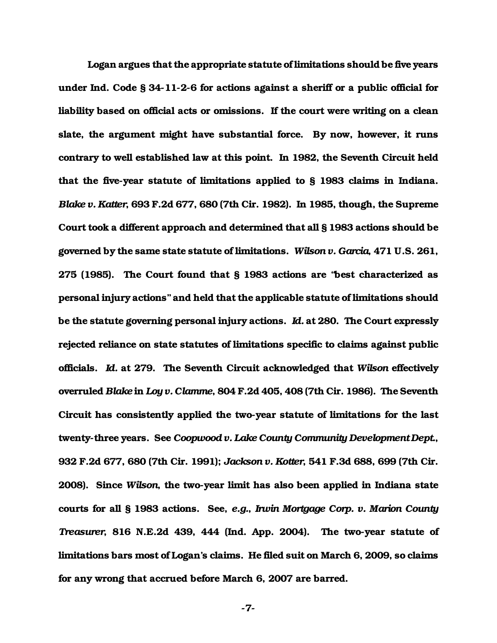Logan argues that the appropriate statute of limitations should be five years under Ind. Code § 34-11-2-6 for actions against a sheriff or a public official for liability based on official acts or omissions. If the court were writing on a clean slate, the argument might have substantial force. By now, however, it runs contrary to well established law at this point. In 1982, the Seventh Circuit held that the five-year statute of limitations applied to § 1983 claims in Indiana. *Blake v. Katter*, 693 F.2d 677, 680 (7th Cir. 1982). In 1985, though, the Supreme Court took a different approach and determined that all § 1983 actions should be governed by the same state statute of limitations. *Wilson v. Garcia*, 471 U.S. 261, 275 (1985). The Court found that § 1983 actions are "best characterized as personal injury actions" and held that the applicable statute of limitations should be the statute governing personal injury actions. *Id.* at 280. The Court expressly rejected reliance on state statutes of limitations specific to claims against public officials. *Id.* at 279. The Seventh Circuit acknowledged that *Wilson* effectively overruled *Blake* in *Loy v. Clamme*, 804 F.2d 405, 408 (7th Cir. 1986). The Seventh Circuit has consistently applied the two-year statute of limitations for the last twenty-three years. See *Coopwood v. Lake County Community Development Dept.*, 932 F.2d 677, 680 (7th Cir. 1991); *Jackson v. Kotter*, 541 F.3d 688, 699 (7th Cir. 2008). Since *Wilson*, the two-year limit has also been applied in Indiana state courts for all § 1983 actions. See, *e.g.*, *Irwin Mortgage Corp. v. Marion County Treasurer*, 816 N.E.2d 439, 444 (Ind. App. 2004). The two-year statute of limitations bars most of Logan's claims. He filed suit on March 6, 2009, so claims for any wrong that accrued before March 6, 2007 are barred.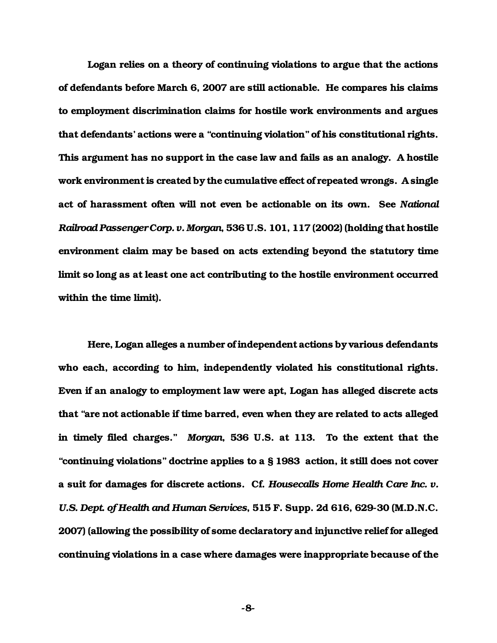Logan relies on a theory of continuing violations to argue that the actions of defendants before March 6, 2007 are still actionable. He compares his claims to employment discrimination claims for hostile work environments and argues that defendants' actions were a "continuing violation" of his constitutional rights. This argument has no support in the case law and fails as an analogy. A hostile work environment is created by the cumulative effect of repeated wrongs. A single act of harassment often will not even be actionable on its own. See *National Railroad Passenger Corp. v. Morgan*, 536 U.S. 101, 117 (2002) (holding that hostile environment claim may be based on acts extending beyond the statutory time limit so long as at least one act contributing to the hostile environment occurred within the time limit).

Here, Logan alleges a number of independent actions by various defendants who each, according to him, independently violated his constitutional rights. Even if an analogy to employment law were apt, Logan has alleged discrete acts that "are not actionable if time barred, even when they are related to acts alleged in timely filed charges." *Morgan*, 536 U.S. at 113. To the extent that the "continuing violations" doctrine applies to a § 1983 action, it still does not cover a suit for damages for discrete actions. Cf. *Housecalls Home Health Care Inc. v. U.S. Dept. of Health and Human Services*, 515 F. Supp. 2d 616, 629-30 (M.D.N.C. 2007) (allowing the possibility of some declaratory and injunctive relief for alleged continuing violations in a case where damages were inappropriate because of the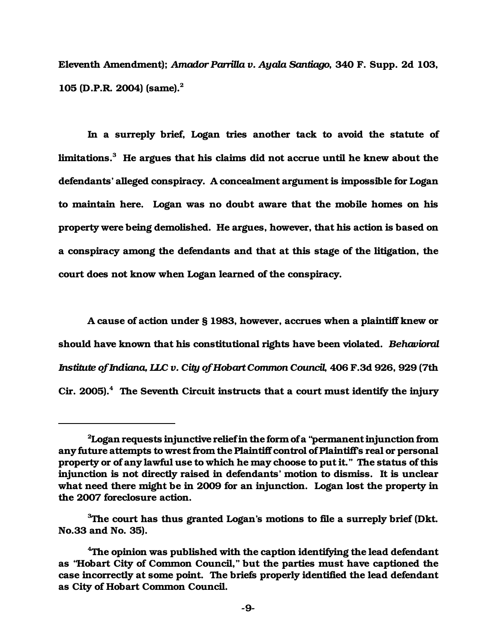Eleventh Amendment); *Amador Parrilla v. Ayala Santiago*, 340 F. Supp. 2d 103, 105 (D.P.R. 2004) (same).<sup>2</sup>

In a surreply brief, Logan tries another tack to avoid the statute of limitations. $^3\,$  He argues that his claims did not accrue until he knew about the defendants' alleged conspiracy. A concealment argument is impossible for Logan to maintain here. Logan was no doubt aware that the mobile homes on his property were being demolished. He argues, however, that his action is based on a conspiracy among the defendants and that at this stage of the litigation, the court does not know when Logan learned of the conspiracy.

A cause of action under § 1983, however, accrues when a plaintiff knew or should have known that his constitutional rights have been violated. *Behavioral Institute of Indiana, LLC v. City of Hobart Common Council*, 406 F.3d 926, 929 (7th Cir. 2005). $4$  The Seventh Circuit instructs that a court must identify the injury

 $2$ Logan requests injunctive relief in the form of a "permanent injunction from any future attempts to wrest from the Plaintiff control of Plaintiff's real or personal property or of any lawful use to which he may choose to put it." The status of this injunction is not directly raised in defendants' motion to dismiss. It is unclear what need there might be in 2009 for an injunction. Logan lost the property in the 2007 foreclosure action.

<sup>&</sup>lt;sup>3</sup>The court has thus granted Logan's motions to file a surreply brief (Dkt. No.33 and No. 35).

<sup>&</sup>lt;sup>4</sup>The opinion was published with the caption identifying the lead defendant as "Hobart City of Common Council," but the parties must have captioned the case incorrectly at some point. The briefs properly identified the lead defendant as City of Hobart Common Council.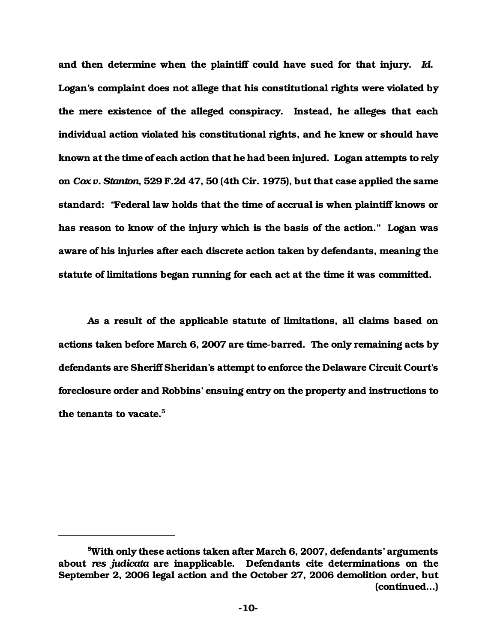and then determine when the plaintiff could have sued for that injury. *Id*. Logan's complaint does not allege that his constitutional rights were violated by the mere existence of the alleged conspiracy. Instead, he alleges that each individual action violated his constitutional rights, and he knew or should have known at the time of each action that he had been injured. Logan attempts to rely on *Cox v. Stanton*, 529 F.2d 47, 50 (4th Cir. 1975), but that case applied the same standard: "Federal law holds that the time of accrual is when plaintiff knows or has reason to know of the injury which is the basis of the action." Logan was aware of his injuries after each discrete action taken by defendants, meaning the statute of limitations began running for each act at the time it was committed.

As a result of the applicable statute of limitations, all claims based on actions taken before March 6, 2007 are time-barred. The only remaining acts by defendants are Sheriff Sheridan's attempt to enforce the Delaware Circuit Court's foreclosure order and Robbins' ensuing entry on the property and instructions to the tenants to vacate.<sup>5</sup>

<sup>5</sup>With only these actions taken after March 6, 2007, defendants' arguments about *res judicata* are inapplicable. Defendants cite determinations on the September 2, 2006 legal action and the October 27, 2006 demolition order, but (continued...)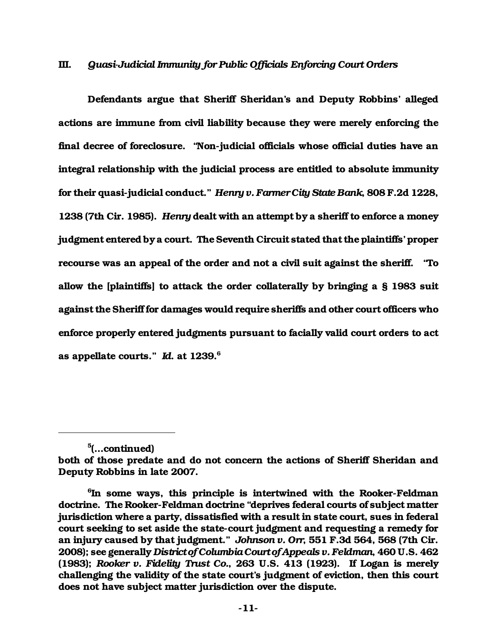## III. *Quasi-Judicial Immunity for Public Officials Enforcing Court Orders*

Defendants argue that Sheriff Sheridan's and Deputy Robbins' alleged actions are immune from civil liability because they were merely enforcing the final decree of foreclosure. "Non-judicial officials whose official duties have an integral relationship with the judicial process are entitled to absolute immunity for their quasi-judicial conduct." *Henry v. Farmer City State Bank*, 808 F.2d 1228, 1238 (7th Cir. 1985). *Henry* dealt with an attempt by a sheriff to enforce a money judgment entered by a court. The Seventh Circuit stated that the plaintiffs' proper recourse was an appeal of the order and not a civil suit against the sheriff. "To allow the [plaintiffs] to attack the order collaterally by bringing a § 1983 suit against the Sheriff for damages would require sheriffs and other court officers who enforce properly entered judgments pursuant to facially valid court orders to act as appellate courts." *Id*. at 1239.<sup>6</sup>

<sup>&</sup>lt;sup>5</sup>(...continued)

both of those predate and do not concern the actions of Sheriff Sheridan and Deputy Robbins in late 2007.

<sup>6</sup> In some ways, this principle is intertwined with the Rooker-Feldman doctrine. The Rooker-Feldman doctrine "deprives federal courts of subject matter jurisdiction where a party, dissatisfied with a result in state court, sues in federal court seeking to set aside the state-court judgment and requesting a remedy for an injury caused by that judgment." *Johnson v. Orr*, 551 F.3d 564, 568 (7th Cir. 2008); see generally *District of Columbia Court of Appeals v. Feldman*, 460 U.S. 462 (1983); *Rooker v. Fidelity Trust Co.*, 263 U.S. 413 (1923). If Logan is merely challenging the validity of the state court's judgment of eviction, then this court does not have subject matter jurisdiction over the dispute.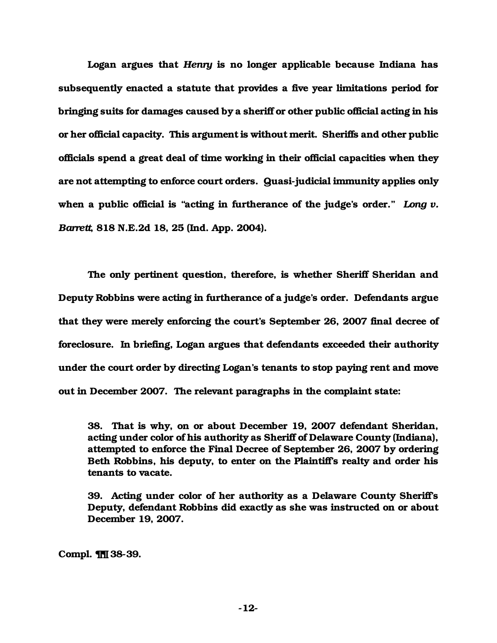Logan argues that *Henry* is no longer applicable because Indiana has subsequently enacted a statute that provides a five year limitations period for bringing suits for damages caused by a sheriff or other public official acting in his or her official capacity. This argument is without merit. Sheriffs and other public officials spend a great deal of time working in their official capacities when they are not attempting to enforce court orders. Quasi-judicial immunity applies only when a public official is "acting in furtherance of the judge's order." *Long v. Barrett*, 818 N.E.2d 18, 25 (Ind. App. 2004).

The only pertinent question, therefore, is whether Sheriff Sheridan and Deputy Robbins were acting in furtherance of a judge's order. Defendants argue that they were merely enforcing the court's September 26, 2007 final decree of foreclosure. In briefing, Logan argues that defendants exceeded their authority under the court order by directing Logan's tenants to stop paying rent and move out in December 2007. The relevant paragraphs in the complaint state:

38. That is why, on or about December 19, 2007 defendant Sheridan, acting under color of his authority as Sheriff of Delaware County (Indiana), attempted to enforce the Final Decree of September 26, 2007 by ordering Beth Robbins, his deputy, to enter on the Plaintiff's realty and order his tenants to vacate.

39. Acting under color of her authority as a Delaware County Sheriff's Deputy, defendant Robbins did exactly as she was instructed on or about December 19, 2007.

Compl. ¶¶ 38-39.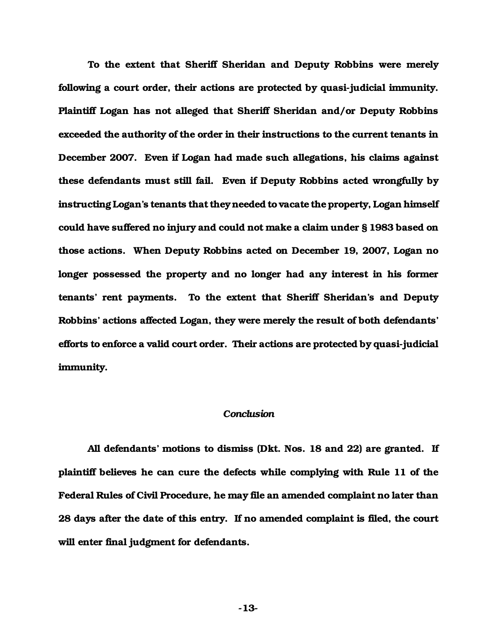To the extent that Sheriff Sheridan and Deputy Robbins were merely following a court order, their actions are protected by quasi-judicial immunity. Plaintiff Logan has not alleged that Sheriff Sheridan and/or Deputy Robbins exceeded the authority of the order in their instructions to the current tenants in December 2007. Even if Logan had made such allegations, his claims against these defendants must still fail. Even if Deputy Robbins acted wrongfully by instructing Logan's tenants that they needed to vacate the property, Logan himself could have suffered no injury and could not make a claim under § 1983 based on those actions. When Deputy Robbins acted on December 19, 2007, Logan no longer possessed the property and no longer had any interest in his former tenants' rent payments. To the extent that Sheriff Sheridan's and Deputy Robbins' actions affected Logan, they were merely the result of both defendants' efforts to enforce a valid court order. Their actions are protected by quasi-judicial immunity.

## *Conclusion*

All defendants' motions to dismiss (Dkt. Nos. 18 and 22) are granted. If plaintiff believes he can cure the defects while complying with Rule 11 of the Federal Rules of Civil Procedure, he may file an amended complaint no later than 28 days after the date of this entry. If no amended complaint is filed, the court will enter final judgment for defendants.